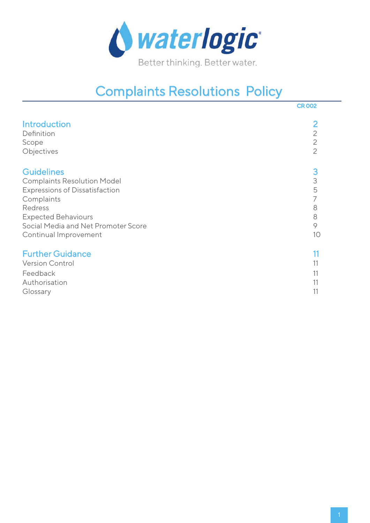

# Complaints Resolutions Policy

|                                       | <b>CR 002</b>  |
|---------------------------------------|----------------|
| <b>Introduction</b>                   | $\overline{2}$ |
| Definition                            | $\overline{2}$ |
| Scope                                 | $\overline{2}$ |
| Objectives                            | $\overline{2}$ |
| <b>Guidelines</b>                     | 3              |
| <b>Complaints Resolution Model</b>    | 3              |
| <b>Expressions of Dissatisfaction</b> | 5              |
| Complaints                            | 7              |
| Redress                               | 8              |
| <b>Expected Behaviours</b>            | 8              |
| Social Media and Net Promoter Score   | 9              |
| Continual Improvement                 | 10             |
| <b>Further Guidance</b>               | 11             |
| <b>Version Control</b>                | 11             |
| Feedback                              | 11             |
| Authorisation                         | 11             |
| Glossary                              | 11             |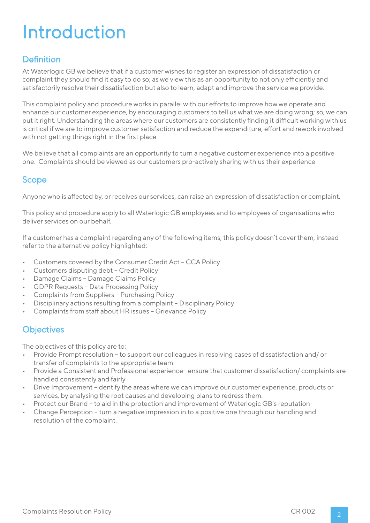# Introduction

# **Definition**

At Waterlogic GB we believe that if a customer wishes to register an expression of dissatisfaction or complaint they should find it easy to do so; as we view this as an opportunity to not only efficiently and satisfactorily resolve their dissatisfaction but also to learn, adapt and improve the service we provide.

This complaint policy and procedure works in parallel with our efforts to improve how we operate and enhance our customer experience, by encouraging customers to tell us what we are doing wrong; so, we can put it right. Understanding the areas where our customers are consistently finding it difficult working with us is critical if we are to improve customer satisfaction and reduce the expenditure, effort and rework involved with not getting things right in the first place.

We believe that all complaints are an opportunity to turn a negative customer experience into a positive one. Complaints should be viewed as our customers pro-actively sharing with us their experience

### Scope

Anyone who is affected by, or receives our services, can raise an expression of dissatisfaction or complaint.

This policy and procedure apply to all Waterlogic GB employees and to employees of organisations who deliver services on our behalf.

If a customer has a complaint regarding any of the following items, this policy doesn't cover them, instead refer to the alternative policy highlighted:

- Customers covered by the Consumer Credit Act CCA Policy
- Customers disputing debt Credit Policy
- Damage Claims Damage Claims Policy
- GDPR Requests Data Processing Policy
- Complaints from Suppliers Purchasing Policy
- Disciplinary actions resulting from a complaint Disciplinary Policy
- Complaints from staff about HR issues Grievance Policy

### **Objectives**

The objectives of this policy are to:

- Provide Prompt resolution to support our colleagues in resolving cases of dissatisfaction and/ or transfer of complaints to the appropriate team
- Provide a Consistent and Professional experience– ensure that customer dissatisfaction/ complaints are handled consistently and fairly
- Drive Improvement –identify the areas where we can improve our customer experience, products or services, by analysing the root causes and developing plans to redress them.
- Protect our Brand to aid in the protection and improvement of Waterlogic GB's reputation
- Change Perception turn a negative impression in to a positive one through our handling and resolution of the complaint.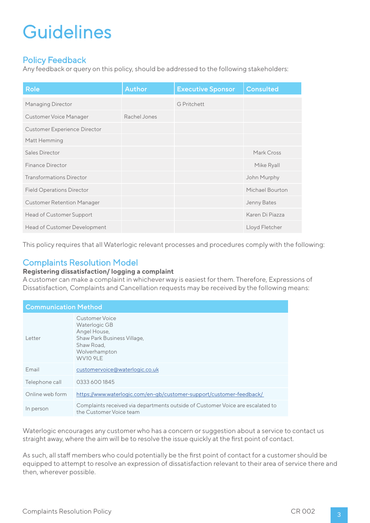### Policy Feedback

Any feedback or query on this policy, should be addressed to the following stakeholders:

| <b>Role</b>                         | <b>Author</b> | <b>Executive Sponsor</b> | <b>Consulted</b> |
|-------------------------------------|---------------|--------------------------|------------------|
| Managing Director                   |               | <b>G</b> Pritchett       |                  |
| Customer Voice Manager              | Rachel Jones  |                          |                  |
| <b>Customer Experience Director</b> |               |                          |                  |
| Matt Hemming                        |               |                          |                  |
| Sales Director                      |               |                          | Mark Cross       |
| Finance Director                    |               |                          | Mike Ryall       |
| <b>Transformations Director</b>     |               |                          | John Murphy      |
| <b>Field Operations Director</b>    |               |                          | Michael Bourton  |
| <b>Customer Retention Manager</b>   |               |                          | Jenny Bates      |
| Head of Customer Support            |               |                          | Karen Di Piazza  |
| Head of Customer Development        |               |                          | Lloyd Fletcher   |

This policy requires that all Waterlogic relevant processes and procedures comply with the following:

### Complaints Resolution Model

#### **Registering dissatisfaction/ logging a complaint**

A customer can make a complaint in whichever way is easiest for them. Therefore, Expressions of Dissatisfaction, Complaints and Cancellation requests may be received by the following means:

| <b>Communication Method</b> |                                                                                                                                  |
|-----------------------------|----------------------------------------------------------------------------------------------------------------------------------|
| Letter                      | Customer Voice<br>Waterlogic GB<br>Angel House,<br>Shaw Park Business Village,<br>Shaw Road.<br>Wolverhampton<br><b>WV10 9LE</b> |
| Email                       | customervoice@waterlogic.co.uk                                                                                                   |
| Telephone call              | 0333 600 1845                                                                                                                    |
| Online web form             | https://www.waterlogic.com/en-gb/customer-support/customer-feedback/                                                             |
| In person                   | Complaints received via departments outside of Customer Voice are escalated to<br>the Customer Voice team                        |

Waterlogic encourages any customer who has a concern or suggestion about a service to contact us straight away, where the aim will be to resolve the issue quickly at the first point of contact.

As such, all staff members who could potentially be the first point of contact for a customer should be equipped to attempt to resolve an expression of dissatisfaction relevant to their area of service there and then, wherever possible.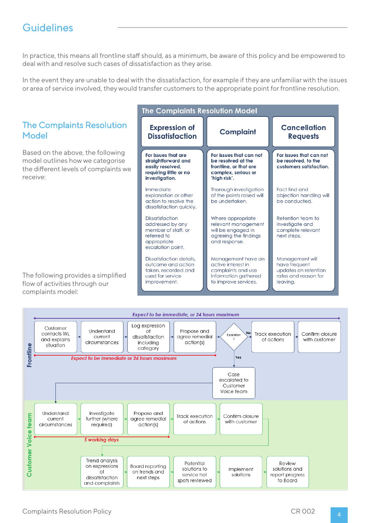In practice, this means all frontline staff should, as a minimum, be aware of this policy and be empowered to deal with and resolve such cases of dissatisfaction as they arise.

In the event they are unable to deal with the dissatisfaction, for example if they are unfamiliar with the issues or area of service involved, they would transfer customers to the appropriate point for frontline resolution.



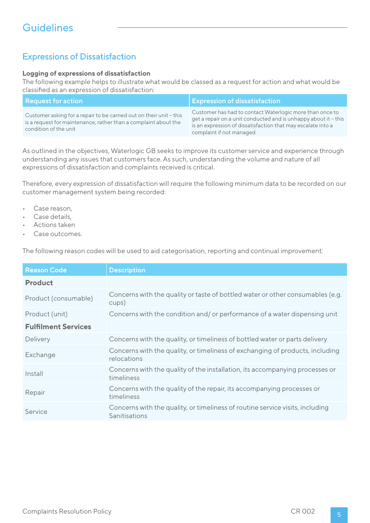### Expressions of Dissatisfaction

#### **Logging of expressions of dissatisfaction**

The following example helps to illustrate what would be classed as a request for action and what would be classified as an expression of dissatisfaction:

| <b>Request for action</b>                                                                                                                                       | <b>Expression of dissatisfaction</b>                                                                                                                                                                                    |
|-----------------------------------------------------------------------------------------------------------------------------------------------------------------|-------------------------------------------------------------------------------------------------------------------------------------------------------------------------------------------------------------------------|
| Customer asking for a repair to be carried out on their unit - this<br>is a request for maintenance, rather than a complaint about the<br>condition of the unit | Customer has had to contact Waterlogic more than once to<br>get a repair on a unit conducted and is unhappy about it - this<br>is an expression of dissatisfaction that may escalate into a<br>complaint if not managed |

As outlined in the objectives, Waterlogic GB seeks to improve its customer service and experience through understanding any issues that customers face. As such, understanding the volume and nature of all expressions of dissatisfaction and complaints received is critical.

Therefore, every expression of dissatisfaction will require the following minimum data to be recorded on our customer management system being recorded:

- Case reason,
- Case details.
- Actions taken
- Case outcomes.

The following reason codes will be used to aid categorisation, reporting and continual improvement:

| <b>Reason Code</b>         | <b>Description</b>                                                                             |
|----------------------------|------------------------------------------------------------------------------------------------|
| <b>Product</b>             |                                                                                                |
| Product (consumable)       | Concerns with the quality or taste of bottled water or other consumables (e.g.<br>cups)        |
| Product (unit)             | Concerns with the condition and/ or performance of a water dispensing unit                     |
| <b>Fulfilment Services</b> |                                                                                                |
| Delivery                   | Concerns with the quality, or timeliness of bottled water or parts delivery                    |
| Exchange                   | Concerns with the quality, or timeliness of exchanging of products, including<br>relocations   |
| Install                    | Concerns with the quality of the installation, its accompanying processes or<br>timeliness     |
| Repair                     | Concerns with the quality of the repair, its accompanying processes or<br>timeliness           |
| Service                    | Concerns with the quality, or timeliness of routine service visits, including<br>Sanitisations |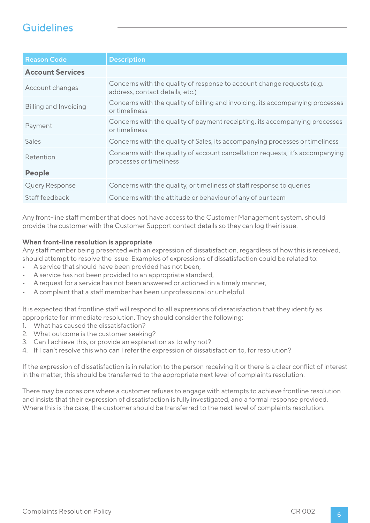| <b>Reason Code</b>           | <b>Description</b>                                                                                        |
|------------------------------|-----------------------------------------------------------------------------------------------------------|
| <b>Account Services</b>      |                                                                                                           |
| Account changes              | Concerns with the quality of response to account change requests (e.g.<br>address, contact details, etc.) |
| <b>Billing and Invoicing</b> | Concerns with the quality of billing and invoicing, its accompanying processes<br>or timeliness           |
| Payment                      | Concerns with the quality of payment receipting, its accompanying processes<br>or timeliness              |
| <b>Sales</b>                 | Concerns with the quality of Sales, its accompanying processes or timeliness                              |
| Retention                    | Concerns with the quality of account cancellation requests, it's accompanying<br>processes or timeliness  |
| <b>People</b>                |                                                                                                           |
| <b>Query Response</b>        | Concerns with the quality, or timeliness of staff response to queries                                     |
| Staff feedback               | Concerns with the attitude or behaviour of any of our team                                                |

Any front-line staff member that does not have access to the Customer Management system, should provide the customer with the Customer Support contact details so they can log their issue.

#### **When front-line resolution is appropriate**

Any staff member being presented with an expression of dissatisfaction, regardless of how this is received, should attempt to resolve the issue. Examples of expressions of dissatisfaction could be related to:

- A service that should have been provided has not been,
- A service has not been provided to an appropriate standard,
- A request for a service has not been answered or actioned in a timely manner,
- A complaint that a staff member has been unprofessional or unhelpful.

It is expected that frontline staff will respond to all expressions of dissatisfaction that they identify as appropriate for immediate resolution. They should consider the following:

- 1. What has caused the dissatisfaction?
- 2. What outcome is the customer seeking?
- 3. Can I achieve this, or provide an explanation as to why not?
- 4. If I can't resolve this who can I refer the expression of dissatisfaction to, for resolution?

If the expression of dissatisfaction is in relation to the person receiving it or there is a clear conflict of interest in the matter, this should be transferred to the appropriate next level of complaints resolution.

There may be occasions where a customer refuses to engage with attempts to achieve frontline resolution and insists that their expression of dissatisfaction is fully investigated, and a formal response provided. Where this is the case, the customer should be transferred to the next level of complaints resolution.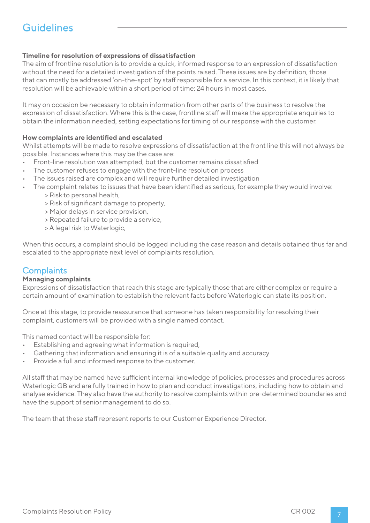### **Timeline for resolution of expressions of dissatisfaction**

The aim of frontline resolution is to provide a quick, informed response to an expression of dissatisfaction without the need for a detailed investigation of the points raised. These issues are by definition, those that can mostly be addressed 'on-the-spot' by staff responsible for a service. In this context, it is likely that resolution will be achievable within a short period of time; 24 hours in most cases.

It may on occasion be necessary to obtain information from other parts of the business to resolve the expression of dissatisfaction. Where this is the case, frontline staff will make the appropriate enquiries to obtain the information needed, setting expectations for timing of our response with the customer.

### **How complaints are identified and escalated**

Whilst attempts will be made to resolve expressions of dissatisfaction at the front line this will not always be possible. Instances where this may be the case are:

- Front-line resolution was attempted, but the customer remains dissatisfied
- The customer refuses to engage with the front-line resolution process
- The issues raised are complex and will require further detailed investigation
- The complaint relates to issues that have been identified as serious, for example they would involve:
	- > Risk to personal health,
	- > Risk of significant damage to property,
	- > Major delays in service provision,
	- > Repeated failure to provide a service,
	- > A legal risk to Waterlogic,

When this occurs, a complaint should be logged including the case reason and details obtained thus far and escalated to the appropriate next level of complaints resolution.

### **Complaints**

#### **Managing complaints**

Expressions of dissatisfaction that reach this stage are typically those that are either complex or require a certain amount of examination to establish the relevant facts before Waterlogic can state its position.

Once at this stage, to provide reassurance that someone has taken responsibility for resolving their complaint, customers will be provided with a single named contact.

This named contact will be responsible for:

- Establishing and agreeing what information is required.
- Gathering that information and ensuring it is of a suitable quality and accuracy
- Provide a full and informed response to the customer.

All staff that may be named have sufficient internal knowledge of policies, processes and procedures across Waterlogic GB and are fully trained in how to plan and conduct investigations, including how to obtain and analyse evidence. They also have the authority to resolve complaints within pre-determined boundaries and have the support of senior management to do so.

The team that these staff represent reports to our Customer Experience Director.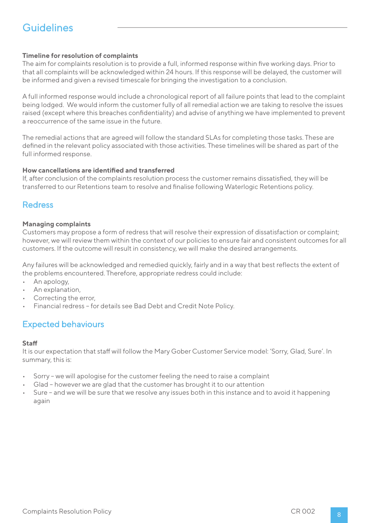### **Timeline for resolution of complaints**

The aim for complaints resolution is to provide a full, informed response within five working days. Prior to that all complaints will be acknowledged within 24 hours. If this response will be delayed, the customer will be informed and given a revised timescale for bringing the investigation to a conclusion.

A full informed response would include a chronological report of all failure points that lead to the complaint being lodged. We would inform the customer fully of all remedial action we are taking to resolve the issues raised (except where this breaches confidentiality) and advise of anything we have implemented to prevent a reoccurrence of the same issue in the future.

The remedial actions that are agreed will follow the standard SLAs for completing those tasks. These are defined in the relevant policy associated with those activities. These timelines will be shared as part of the full informed response.

#### **How cancellations are identified and transferred**

If, after conclusion of the complaints resolution process the customer remains dissatisfied, they will be transferred to our Retentions team to resolve and finalise following Waterlogic Retentions policy.

### **Redress**

#### **Managing complaints**

Customers may propose a form of redress that will resolve their expression of dissatisfaction or complaint; however, we will review them within the context of our policies to ensure fair and consistent outcomes for all customers. If the outcome will result in consistency, we will make the desired arrangements.

Any failures will be acknowledged and remedied quickly, fairly and in a way that best reflects the extent of the problems encountered. Therefore, appropriate redress could include:

- An apology,
- An explanation,
- Correcting the error,
- Financial redress for details see Bad Debt and Credit Note Policy.

## Expected behaviours

#### **Staff**

It is our expectation that staff will follow the Mary Gober Customer Service model: 'Sorry, Glad, Sure'. In summary, this is:

- Sorry we will apologise for the customer feeling the need to raise a complaint
- Glad however we are glad that the customer has brought it to our attention
- Sure and we will be sure that we resolve any issues both in this instance and to avoid it happening again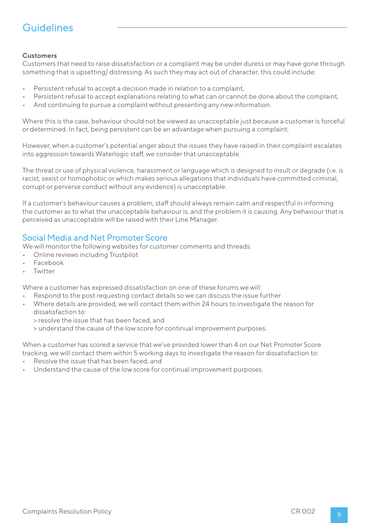### **Customers**

Customers that need to raise dissatisfaction or a complaint may be under duress or may have gone through something that is upsetting/ distressing. As such they may act out of character, this could include:

- Persistent refusal to accept a decision made in relation to a complaint,
- Persistent refusal to accept explanations relating to what can or cannot be done about the complaint,
- And continuing to pursue a complaint without presenting any new information.

Where this is the case, behaviour should not be viewed as unacceptable just because a customer is forceful or determined. In fact, being persistent can be an advantage when pursuing a complaint.

However, when a customer's potential anger about the issues they have raised in their complaint escalates into aggression towards Waterlogic staff, we consider that unacceptable.

The threat or use of physical violence, harassment or language which is designed to insult or degrade (i.e. is racist, sexist or homophobic or which makes serious allegations that individuals have committed criminal, corrupt or perverse conduct without any evidence) is unacceptable.

If a customer's behaviour causes a problem, staff should always remain calm and respectful in informing the customer as to what the unacceptable behaviour is, and the problem it is causing. Any behaviour that is perceived as unacceptable will be raised with their Line Manager.

### Social Media and Net Promoter Score

We will monitor the following websites for customer comments and threads:

- Online reviews including Trustpilot
- Facebook
- Twitter

Where a customer has expressed dissatisfaction on one of these forums we will:

- Respond to the post requesting contact details so we can discuss the issue further
- Where details are provided, we will contact them within 24 hours to investigate the reason for dissatisfaction to:
	- > resolve the issue that has been faced, and
	- > understand the cause of the low score for continual improvement purposes.

When a customer has scored a service that we've provided lower than 4 on our Net Promoter Score tracking, we will contact them within 5 working days to investigate the reason for dissatisfaction to:

- Resolve the issue that has been faced, and
- Understand the cause of the low score for continual improvement purposes.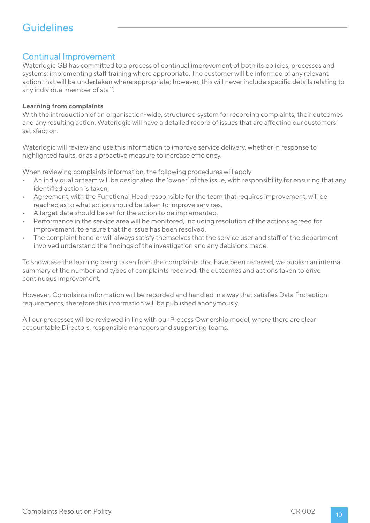### Continual Improvement

Waterlogic GB has committed to a process of continual improvement of both its policies, processes and systems; implementing staff training where appropriate. The customer will be informed of any relevant action that will be undertaken where appropriate; however, this will never include specific details relating to any individual member of staff.

#### **Learning from complaints**

With the introduction of an organisation-wide, structured system for recording complaints, their outcomes and any resulting action, Waterlogic will have a detailed record of issues that are affecting our customers' satisfaction.

Waterlogic will review and use this information to improve service delivery, whether in response to highlighted faults, or as a proactive measure to increase efficiency.

When reviewing complaints information, the following procedures will apply

- An individual or team will be designated the 'owner' of the issue, with responsibility for ensuring that any identified action is taken,
- Agreement, with the Functional Head responsible for the team that requires improvement, will be reached as to what action should be taken to improve services,
- A target date should be set for the action to be implemented,
- Performance in the service area will be monitored, including resolution of the actions agreed for improvement, to ensure that the issue has been resolved,
- The complaint handler will always satisfy themselves that the service user and staff of the department involved understand the findings of the investigation and any decisions made.

To showcase the learning being taken from the complaints that have been received, we publish an internal summary of the number and types of complaints received, the outcomes and actions taken to drive continuous improvement.

However, Complaints information will be recorded and handled in a way that satisfies Data Protection requirements, therefore this information will be published anonymously.

All our processes will be reviewed in line with our Process Ownership model, where there are clear accountable Directors, responsible managers and supporting teams.